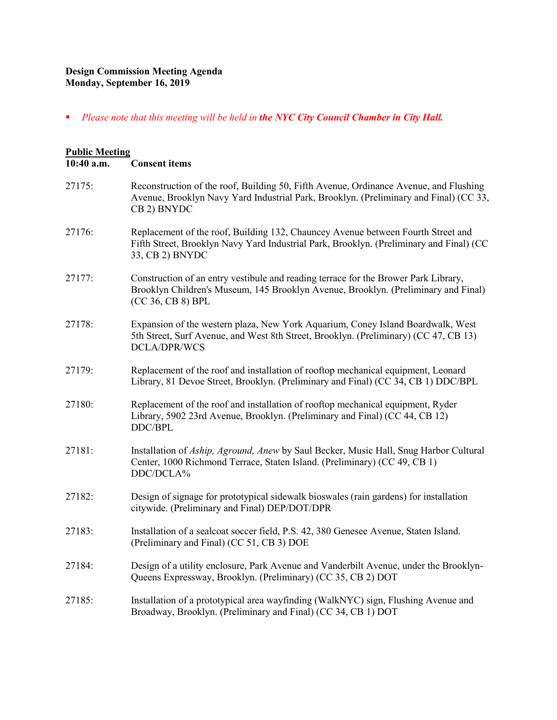## **Design Commission Meeting Agenda Monday, September 16, 2019**

*Please note that this meeting will be held in the NYC City Council Chamber in City Hall.*

## **Public Meeting 10:40 a.m. Consent items** 27175: Reconstruction of the roof, Building 50, Fifth Avenue, Ordinance Avenue, and Flushing Avenue, Brooklyn Navy Yard Industrial Park, Brooklyn. (Preliminary and Final) (CC 33, CB 2) BNYDC 27176: Replacement of the roof, Building 132, Chauncey Avenue between Fourth Street and Fifth Street, Brooklyn Navy Yard Industrial Park, Brooklyn. (Preliminary and Final) (CC 33, CB 2) BNYDC 27177: Construction of an entry vestibule and reading terrace for the Brower Park Library, Brooklyn Children's Museum, 145 Brooklyn Avenue, Brooklyn. (Preliminary and Final) (CC 36, CB 8) BPL 27178: Expansion of the western plaza, New York Aquarium, Coney Island Boardwalk, West 5th Street, Surf Avenue, and West 8th Street, Brooklyn. (Preliminary) (CC 47, CB 13) DCLA/DPR/WCS 27179: Replacement of the roof and installation of rooftop mechanical equipment, Leonard Library, 81 Devoe Street, Brooklyn. (Preliminary and Final) (CC 34, CB 1) DDC/BPL 27180: Replacement of the roof and installation of rooftop mechanical equipment, Ryder Library, 5902 23rd Avenue, Brooklyn. (Preliminary and Final) (CC 44, CB 12) DDC/BPL 27181: Installation of *Aship, Aground, Anew* by Saul Becker, Music Hall, Snug Harbor Cultural Center, 1000 Richmond Terrace, Staten Island. (Preliminary) (CC 49, CB 1) DDC/DCLA% 27182: Design of signage for prototypical sidewalk bioswales (rain gardens) for installation citywide. (Preliminary and Final) DEP/DOT/DPR 27183: Installation of a sealcoat soccer field, P.S. 42, 380 Genesee Avenue, Staten Island. (Preliminary and Final) (CC 51, CB 3) DOE 27184: Design of a utility enclosure, Park Avenue and Vanderbilt Avenue, under the Brooklyn-Queens Expressway, Brooklyn. (Preliminary) (CC 35, CB 2) DOT 27185: Installation of a prototypical area wayfinding (WalkNYC) sign, Flushing Avenue and Broadway, Brooklyn. (Preliminary and Final) (CC 34, CB 1) DOT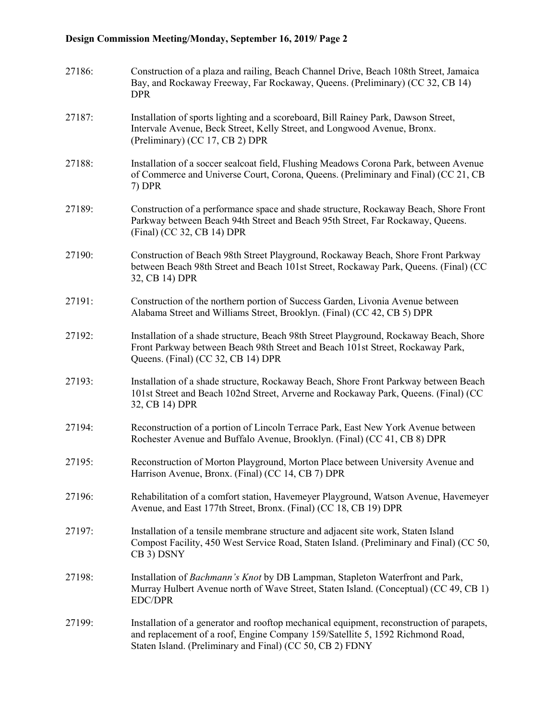## **Design Commission Meeting/Monday, September 16, 2019/ Page 2**

| 27186: | Construction of a plaza and railing, Beach Channel Drive, Beach 108th Street, Jamaica<br>Bay, and Rockaway Freeway, Far Rockaway, Queens. (Preliminary) (CC 32, CB 14)<br><b>DPR</b>                                                     |
|--------|------------------------------------------------------------------------------------------------------------------------------------------------------------------------------------------------------------------------------------------|
| 27187: | Installation of sports lighting and a scoreboard, Bill Rainey Park, Dawson Street,<br>Intervale Avenue, Beck Street, Kelly Street, and Longwood Avenue, Bronx.<br>(Preliminary) (CC 17, CB 2) DPR                                        |
| 27188: | Installation of a soccer sealcoat field, Flushing Meadows Corona Park, between Avenue<br>of Commerce and Universe Court, Corona, Queens. (Preliminary and Final) (CC 21, CB<br>7) DPR                                                    |
| 27189: | Construction of a performance space and shade structure, Rockaway Beach, Shore Front<br>Parkway between Beach 94th Street and Beach 95th Street, Far Rockaway, Queens.<br>(Final) (CC 32, CB 14) DPR                                     |
| 27190: | Construction of Beach 98th Street Playground, Rockaway Beach, Shore Front Parkway<br>between Beach 98th Street and Beach 101st Street, Rockaway Park, Queens. (Final) (CC<br>32, CB 14) DPR                                              |
| 27191: | Construction of the northern portion of Success Garden, Livonia Avenue between<br>Alabama Street and Williams Street, Brooklyn. (Final) (CC 42, CB 5) DPR                                                                                |
| 27192: | Installation of a shade structure, Beach 98th Street Playground, Rockaway Beach, Shore<br>Front Parkway between Beach 98th Street and Beach 101st Street, Rockaway Park,<br>Queens. (Final) (CC 32, CB 14) DPR                           |
| 27193: | Installation of a shade structure, Rockaway Beach, Shore Front Parkway between Beach<br>101st Street and Beach 102nd Street, Arverne and Rockaway Park, Queens. (Final) (CC<br>32, CB 14) DPR                                            |
| 27194: | Reconstruction of a portion of Lincoln Terrace Park, East New York Avenue between<br>Rochester Avenue and Buffalo Avenue, Brooklyn. (Final) (CC 41, CB 8) DPR                                                                            |
| 27195: | Reconstruction of Morton Playground, Morton Place between University Avenue and<br>Harrison Avenue, Bronx. (Final) (CC 14, CB 7) DPR                                                                                                     |
| 27196: | Rehabilitation of a comfort station, Havemeyer Playground, Watson Avenue, Havemeyer<br>Avenue, and East 177th Street, Bronx. (Final) (CC 18, CB 19) DPR                                                                                  |
| 27197: | Installation of a tensile membrane structure and adjacent site work, Staten Island<br>Compost Facility, 450 West Service Road, Staten Island. (Preliminary and Final) (CC 50,<br>CB 3) DSNY                                              |
| 27198: | Installation of Bachmann's Knot by DB Lampman, Stapleton Waterfront and Park,<br>Murray Hulbert Avenue north of Wave Street, Staten Island. (Conceptual) (CC 49, CB 1)<br><b>EDC/DPR</b>                                                 |
| 27199: | Installation of a generator and rooftop mechanical equipment, reconstruction of parapets,<br>and replacement of a roof, Engine Company 159/Satellite 5, 1592 Richmond Road,<br>Staten Island. (Preliminary and Final) (CC 50, CB 2) FDNY |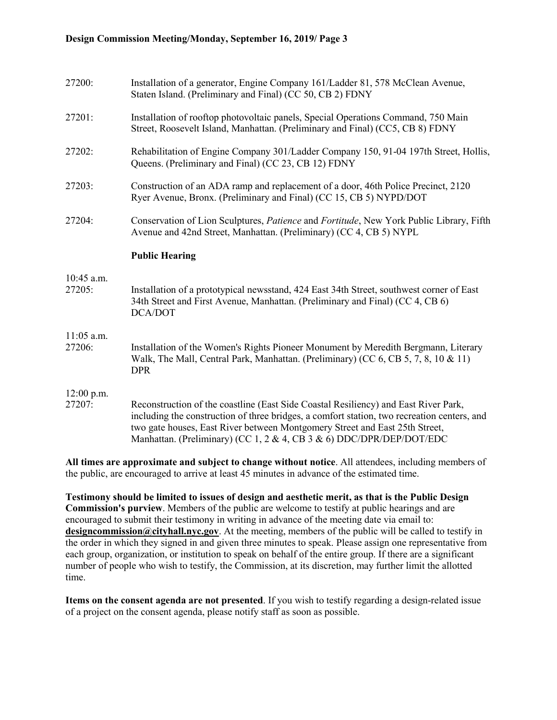| 27200:                 | Installation of a generator, Engine Company 161/Ladder 81, 578 McClean Avenue,<br>Staten Island. (Preliminary and Final) (CC 50, CB 2) FDNY                                            |
|------------------------|----------------------------------------------------------------------------------------------------------------------------------------------------------------------------------------|
| 27201:                 | Installation of rooftop photovoltaic panels, Special Operations Command, 750 Main<br>Street, Roosevelt Island, Manhattan. (Preliminary and Final) (CC5, CB 8) FDNY                     |
| 27202:                 | Rehabilitation of Engine Company 301/Ladder Company 150, 91-04 197th Street, Hollis,<br>Queens. (Preliminary and Final) (CC 23, CB 12) FDNY                                            |
| 27203:                 | Construction of an ADA ramp and replacement of a door, 46th Police Precinct, 2120<br>Ryer Avenue, Bronx. (Preliminary and Final) (CC 15, CB 5) NYPD/DOT                                |
| 27204:                 | Conservation of Lion Sculptures, Patience and Fortitude, New York Public Library, Fifth<br>Avenue and 42nd Street, Manhattan. (Preliminary) (CC 4, CB 5) NYPL                          |
|                        | <b>Public Hearing</b>                                                                                                                                                                  |
| 10:45 a.m.<br>27205:   | Installation of a prototypical newsstand, 424 East 34th Street, southwest corner of East<br>34th Street and First Avenue, Manhattan. (Preliminary and Final) (CC 4, CB 6)              |
|                        | DCA/DOT                                                                                                                                                                                |
| $11:05$ a.m.<br>27206: | Installation of the Women's Rights Pioneer Monument by Meredith Bergmann, Literary<br>Walk, The Mall, Central Park, Manhattan. (Preliminary) (CC 6, CB 5, 7, 8, 10 & 11)<br><b>DPR</b> |

**All times are approximate and subject to change without notice**. All attendees, including members of the public, are encouraged to arrive at least 45 minutes in advance of the estimated time.

**Testimony should be limited to issues of design and aesthetic merit, as that is the Public Design Commission's purview**. Members of the public are welcome to testify at public hearings and are encouraged to submit their testimony in writing in advance of the meeting date via email to: **[designcommission@cityhall.nyc.gov](mailto:designcommission@cityhall.nyc.gov)**. At the meeting, members of the public will be called to testify in the order in which they signed in and given three minutes to speak. Please assign one representative from each group, organization, or institution to speak on behalf of the entire group. If there are a significant number of people who wish to testify, the Commission, at its discretion, may further limit the allotted time.

**Items on the consent agenda are not presented**. If you wish to testify regarding a design-related issue of a project on the consent agenda, please notify staff as soon as possible.